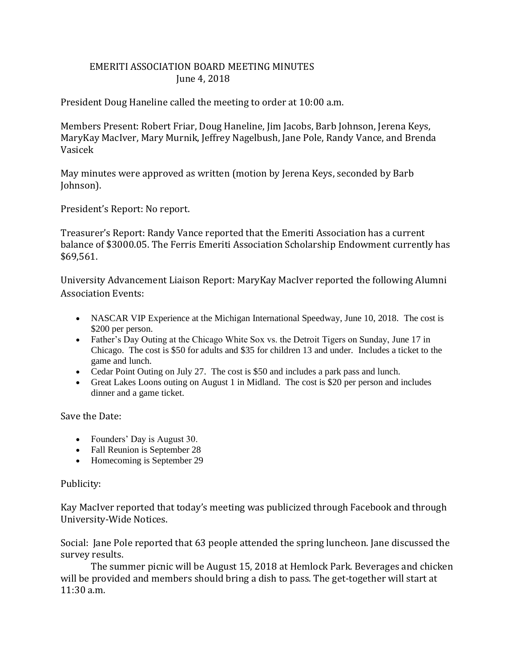## EMERITI ASSOCIATION BOARD MEETING MINUTES June 4, 2018

President Doug Haneline called the meeting to order at 10:00 a.m.

Members Present: Robert Friar, Doug Haneline, Jim Jacobs, Barb Johnson, Jerena Keys, MaryKay MacIver, Mary Murnik, Jeffrey Nagelbush, Jane Pole, Randy Vance, and Brenda Vasicek

May minutes were approved as written (motion by Jerena Keys, seconded by Barb Johnson).

President's Report: No report.

Treasurer's Report: Randy Vance reported that the Emeriti Association has a current balance of \$3000.05. The Ferris Emeriti Association Scholarship Endowment currently has \$69,561.

University Advancement Liaison Report: MaryKay MacIver reported the following Alumni Association Events:

- NASCAR VIP Experience at the Michigan International Speedway, June 10, 2018. The cost is \$200 per person.
- Father's Day Outing at the Chicago White Sox vs. the Detroit Tigers on Sunday, June 17 in Chicago. The cost is \$50 for adults and \$35 for children 13 and under. Includes a ticket to the game and lunch.
- Cedar Point Outing on July 27. The cost is \$50 and includes a park pass and lunch.
- Great Lakes Loons outing on August 1 in Midland. The cost is \$20 per person and includes dinner and a game ticket.

Save the Date:

- Founders' Day is August 30.
- Fall Reunion is September 28
- Homecoming is September 29

## Publicity:

Kay MacIver reported that today's meeting was publicized through Facebook and through University-Wide Notices.

Social: Jane Pole reported that 63 people attended the spring luncheon. Jane discussed the survey results.

The summer picnic will be August 15, 2018 at Hemlock Park. Beverages and chicken will be provided and members should bring a dish to pass. The get-together will start at 11:30 a.m.